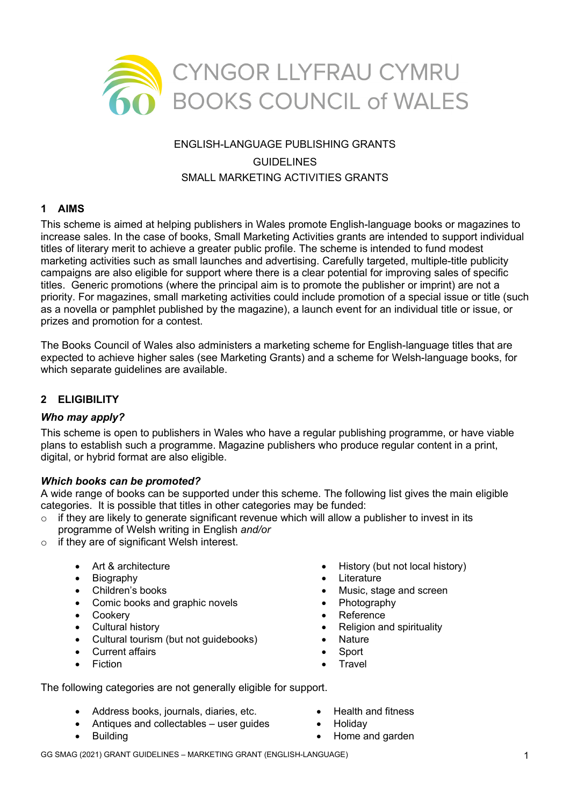

# ENGLISH-LANGUAGE PUBLISHING GRANTS GUIDELINES SMALL MARKETING ACTIVITIES GRANTS

## **1 AIMS**

This scheme is aimed at helping publishers in Wales promote English-language books or magazines to increase sales. In the case of books, Small Marketing Activities grants are intended to support individual titles of literary merit to achieve a greater public profile. The scheme is intended to fund modest marketing activities such as small launches and advertising. Carefully targeted, multiple-title publicity campaigns are also eligible for support where there is a clear potential for improving sales of specific titles. Generic promotions (where the principal aim is to promote the publisher or imprint) are not a priority. For magazines, small marketing activities could include promotion of a special issue or title (such as a novella or pamphlet published by the magazine), a launch event for an individual title or issue, or prizes and promotion for a contest.

The Books Council of Wales also administers a marketing scheme for English-language titles that are expected to achieve higher sales (see Marketing Grants) and a scheme for Welsh-language books, for which separate guidelines are available.

## **2 ELIGIBILITY**

#### *Who may apply?*

This scheme is open to publishers in Wales who have a regular publishing programme, or have viable plans to establish such a programme. Magazine publishers who produce regular content in a print, digital, or hybrid format are also eligible.

#### *Which books can be promoted?*

A wide range of books can be supported under this scheme. The following list gives the main eligible categories. It is possible that titles in other categories may be funded:

- $\circ$  if they are likely to generate significant revenue which will allow a publisher to invest in its programme of Welsh writing in English *and/or*
- $\circ$  if they are of significant Welsh interest.
	- Art & architecture
	- Biography
	- Children's books
	- Comic books and graphic novels
	- Cookery
	- Cultural history
	- Cultural tourism (but not guidebooks)
	- **Current affairs**
	- **Fiction**
- History (but not local history)
- **Literature**
- Music, stage and screen
- **Photography**
- **Reference**
- Religion and spirituality
- Nature
- **Sport**
- **Travel**

The following categories are not generally eligible for support.

- Address books, journals, diaries, etc.
- Antiques and collectables user guides
- **Building**
- Health and fitness
- Holiday
- Home and garden

GG SMAG (2021) GRANT GUIDELINES – MARKETING GRANT (ENGLISH-LANGUAGE) 1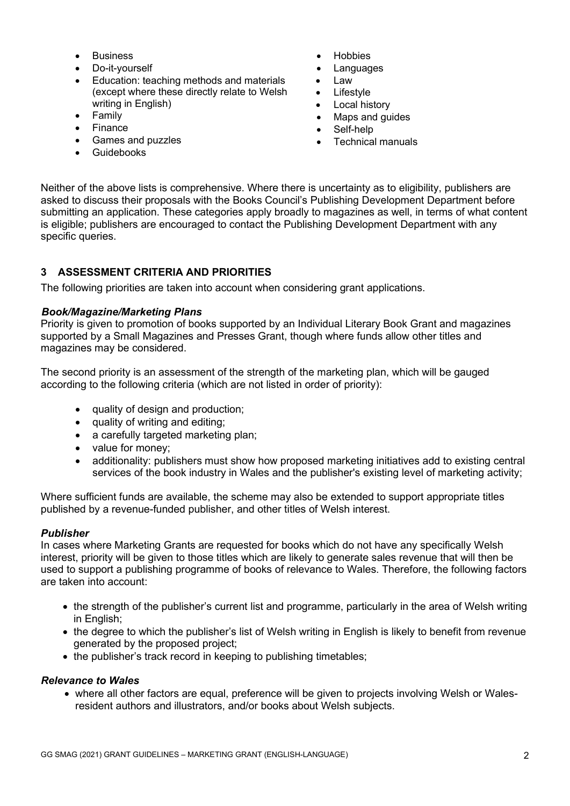- **Business**
- Do-it-yourself
- Education: teaching methods and materials (except where these directly relate to Welsh writing in English)
- Family
- **Finance**
- Games and puzzles
- Guidebooks
- **Hobbies**
- **Languages**
- Law
- Lifestyle
- Local history
- Maps and guides
- Self-help
- Technical manuals

Neither of the above lists is comprehensive. Where there is uncertainty as to eligibility, publishers are asked to discuss their proposals with the Books Council's Publishing Development Department before submitting an application. These categories apply broadly to magazines as well, in terms of what content is eligible; publishers are encouraged to contact the Publishing Development Department with any specific queries.

## **3 ASSESSMENT CRITERIA AND PRIORITIES**

The following priorities are taken into account when considering grant applications.

# *Book/Magazine/Marketing Plans*

Priority is given to promotion of books supported by an Individual Literary Book Grant and magazines supported by a Small Magazines and Presses Grant, though where funds allow other titles and magazines may be considered.

The second priority is an assessment of the strength of the marketing plan, which will be gauged according to the following criteria (which are not listed in order of priority):

- quality of design and production;
- quality of writing and editing;
- a carefully targeted marketing plan;
- value for money;
- additionality: publishers must show how proposed marketing initiatives add to existing central services of the book industry in Wales and the publisher's existing level of marketing activity;

Where sufficient funds are available, the scheme may also be extended to support appropriate titles published by a revenue-funded publisher, and other titles of Welsh interest.

# *Publisher*

In cases where Marketing Grants are requested for books which do not have any specifically Welsh interest, priority will be given to those titles which are likely to generate sales revenue that will then be used to support a publishing programme of books of relevance to Wales. Therefore, the following factors are taken into account:

- the strength of the publisher's current list and programme, particularly in the area of Welsh writing in English;
- the degree to which the publisher's list of Welsh writing in English is likely to benefit from revenue generated by the proposed project;
- the publisher's track record in keeping to publishing timetables;

# *Relevance to Wales*

• where all other factors are equal, preference will be given to projects involving Welsh or Walesresident authors and illustrators, and/or books about Welsh subjects.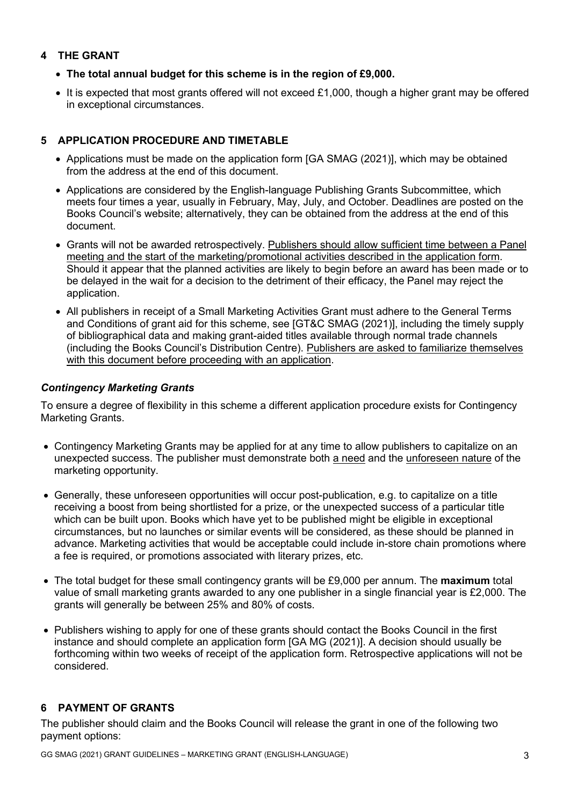## **4 THE GRANT**

- **The total annual budget for this scheme is in the region of £9,000.**
- It is expected that most grants offered will not exceed £1,000, though a higher grant may be offered in exceptional circumstances.

## **5 APPLICATION PROCEDURE AND TIMETABLE**

- Applications must be made on the application form [GA SMAG (2021)], which may be obtained from the address at the end of this document.
- Applications are considered by the English-language Publishing Grants Subcommittee, which meets four times a year, usually in February, May, July, and October. Deadlines are posted on the Books Council's website; alternatively, they can be obtained from the address at the end of this document.
- Grants will not be awarded retrospectively. Publishers should allow sufficient time between a Panel meeting and the start of the marketing/promotional activities described in the application form. Should it appear that the planned activities are likely to begin before an award has been made or to be delayed in the wait for a decision to the detriment of their efficacy, the Panel may reject the application.
- All publishers in receipt of a Small Marketing Activities Grant must adhere to the General Terms and Conditions of grant aid for this scheme, see [GT&C SMAG (2021)], including the timely supply of bibliographical data and making grant-aided titles available through normal trade channels (including the Books Council's Distribution Centre). Publishers are asked to familiarize themselves with this document before proceeding with an application.

## *Contingency Marketing Grants*

To ensure a degree of flexibility in this scheme a different application procedure exists for Contingency Marketing Grants.

- Contingency Marketing Grants may be applied for at any time to allow publishers to capitalize on an unexpected success. The publisher must demonstrate both a need and the unforeseen nature of the marketing opportunity.
- Generally, these unforeseen opportunities will occur post-publication, e.g. to capitalize on a title receiving a boost from being shortlisted for a prize, or the unexpected success of a particular title which can be built upon. Books which have yet to be published might be eligible in exceptional circumstances, but no launches or similar events will be considered, as these should be planned in advance. Marketing activities that would be acceptable could include in-store chain promotions where a fee is required, or promotions associated with literary prizes, etc.
- The total budget for these small contingency grants will be £9,000 per annum. The **maximum** total value of small marketing grants awarded to any one publisher in a single financial year is £2,000. The grants will generally be between 25% and 80% of costs.
- Publishers wishing to apply for one of these grants should contact the Books Council in the first instance and should complete an application form [GA MG (2021)]. A decision should usually be forthcoming within two weeks of receipt of the application form. Retrospective applications will not be considered.

## **6 PAYMENT OF GRANTS**

The publisher should claim and the Books Council will release the grant in one of the following two payment options: